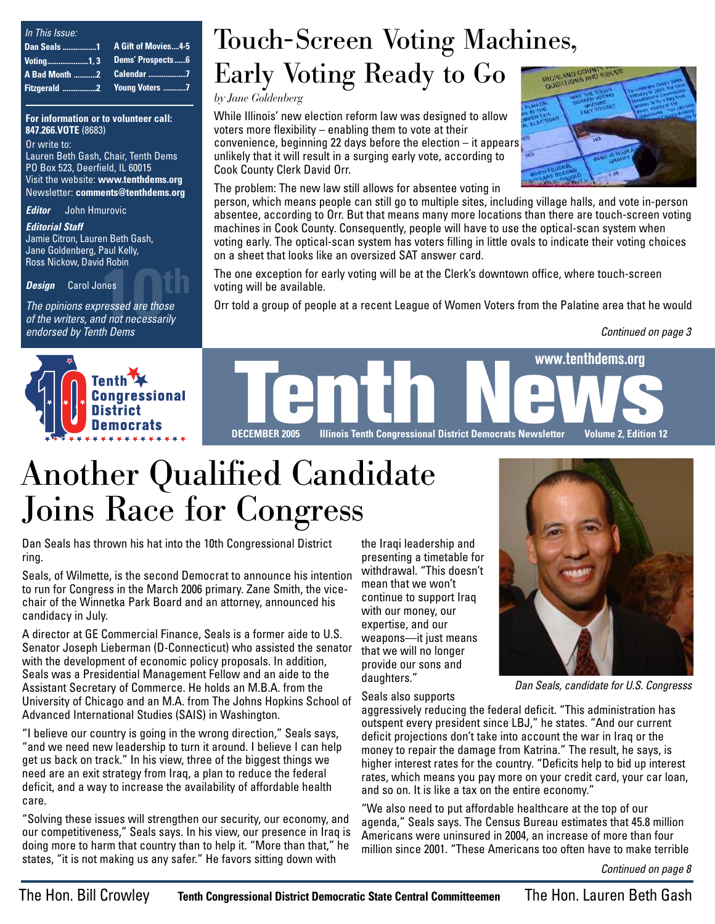| In This Issue:     |                     |
|--------------------|---------------------|
| <b>Dan Seals 1</b> | A Gift of Movies4-5 |
|                    |                     |
|                    |                     |
|                    |                     |

**For information or to volunteer call: 847.266.VOTE** (8683)

Or write to: Lauren Beth Gash, Chair, Tenth Dems PO Box 523, Deerfield, IL 60015 Visit the website: **www.tenthdems.org**  Newsletter: **comments@tenthdems.org**

*Editor* John Hmurovic

*Editorial Staff* Jamie Citron, Lauren Beth Gash, Jane Goldenberg, Paul Kelly, Ross Nickow, David Robin

*Design* Carol Jones

**10th**<br> **10th**<br> **10th**<br> **10th**<br> **10th**<br> **10th**<br> **10th**<br> **10th**<br> **10th**<br> **10th**<br> **10th**<br> **10th**<br> **10th**<br> **10th**<br> **10th**<br> **10th**<br> **10th**<br> **10th**<br> **10th**<br> **10th** *The opinions expressed are those endorsed by Tenth Dems*



### Touch-Screen Voting Machines,

Early Voting Ready to Go

*by Jane Goldenberg*

While Illinois' new election reform law was designed to allow voters more flexibility – enabling them to vote at their convenience, beginning 22 days before the election – it appears unlikely that it will result in a surging early vote, according to Cook County Clerk David Orr.



The problem: The new law still allows for absentee voting in

person, which means people can still go to multiple sites, including village halls, and vote in-person absentee, according to Orr. But that means many more locations than there are touch-screen voting machines in Cook County. Consequently, people will have to use the optical-scan system when voting early. The optical-scan system has voters filling in little ovals to indicate their voting choices on a sheet that looks like an oversized SAT answer card.

The one exception for early voting will be at the Clerk's downtown office, where touch-screen voting will be available.

Orr told a group of people at a recent League of Women Voters from the Palatine area that he would

*Continued on page 3*



**Illinois Tenth Congressional District Democrats Newsletter Volume 2, Edition 12** 

### Another Qualified Candidate Joins Race for Congress

Dan Seals has thrown his hat into the 10th Congressional District ring.

Seals, of Wilmette, is the second Democrat to announce his intention to run for Congress in the March 2006 primary. Zane Smith, the vicechair of the Winnetka Park Board and an attorney, announced his candidacy in July.

A director at GE Commercial Finance, Seals is a former aide to U.S. Senator Joseph Lieberman (D-Connecticut) who assisted the senator with the development of economic policy proposals. In addition, Seals was a Presidential Management Fellow and an aide to the Assistant Secretary of Commerce. He holds an M.B.A. from the University of Chicago and an M.A. from The Johns Hopkins School of Advanced International Studies (SAIS) in Washington.

"I believe our country is going in the wrong direction," Seals says, "and we need new leadership to turn it around. I believe I can help get us back on track." In his view, three of the biggest things we need are an exit strategy from Iraq, a plan to reduce the federal deficit, and a way to increase the availability of affordable health care.

"Solving these issues will strengthen our security, our economy, and our competitiveness," Seals says. In his view, our presence in Iraq is doing more to harm that country than to help it. "More than that," he states, "it is not making us any safer." He favors sitting down with

the Iraqi leadership and presenting a timetable for withdrawal. "This doesn't mean that we won't continue to support Iraq with our money, our expertise, and our weapons—it just means that we will no longer provide our sons and daughters."



*Dan Seals, candidate for U.S. Congresss*

Seals also supports aggressively reducing the federal deficit. "This administration has outspent every president since LBJ," he states. "And our current deficit projections don't take into account the war in Iraq or the money to repair the damage from Katrina." The result, he says, is higher interest rates for the country. "Deficits help to bid up interest rates, which means you pay more on your credit card, your car loan, and so on. It is like a tax on the entire economy."

"We also need to put affordable healthcare at the top of our agenda," Seals says. The Census Bureau estimates that 45.8 million Americans were uninsured in 2004, an increase of more than four million since 2001. "These Americans too often have to make terrible

*Continued on page 8*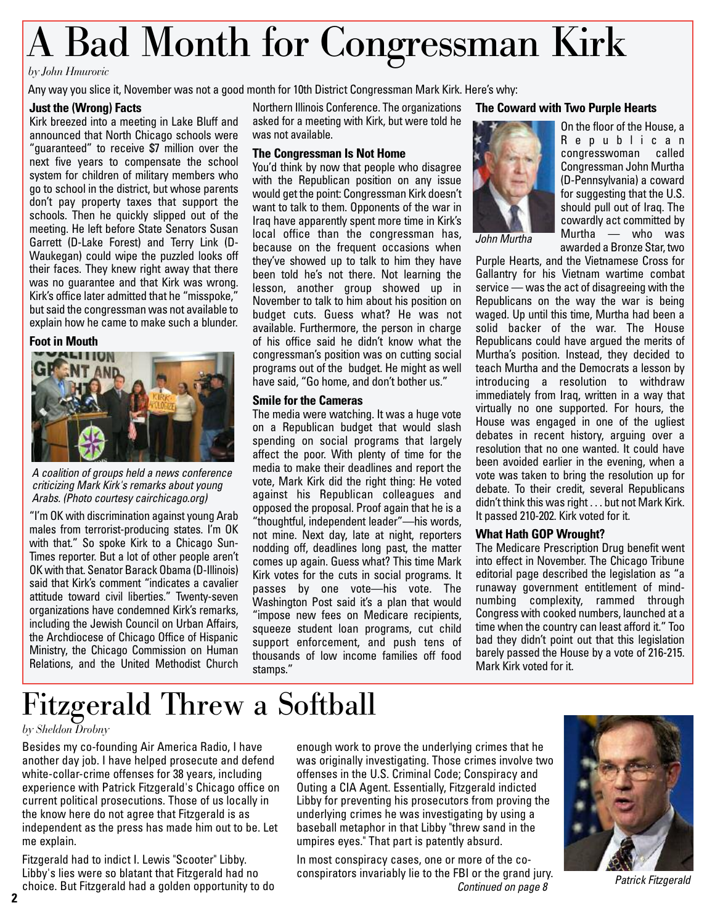## A Bad Month for Congressman Kirk

#### *by John Hmurovic*

Any way you slice it, November was not a good month for 10th District Congressman Mark Kirk. Here's why:

#### **Just the (Wrong) Facts**

Kirk breezed into a meeting in Lake Bluff and announced that North Chicago schools were "guaranteed" to receive \$7 million over the next five years to compensate the school system for children of military members who go to school in the district, but whose parents don't pay property taxes that support the schools. Then he quickly slipped out of the meeting. He left before State Senators Susan Garrett (D-Lake Forest) and Terry Link (D-Waukegan) could wipe the puzzled looks off their faces. They knew right away that there was no guarantee and that Kirk was wrong. Kirk's office later admitted that he "misspoke," but said the congressman was not available to explain how he came to make such a blunder.

#### **Foot in Mouth**



*A coalition of groups held a news conference criticizing Mark Kirk's remarks about young Arabs. (Photo courtesy cairchicago.org)*

"I'm OK with discrimination against young Arab males from terrorist-producing states. I'm OK with that." So spoke Kirk to a Chicago Sun-Times reporter. But a lot of other people aren't OK with that. Senator Barack Obama (D-Illinois) said that Kirk's comment "indicates a cavalier attitude toward civil liberties." Twenty-seven organizations have condemned Kirk's remarks, including the Jewish Council on Urban Affairs, the Archdiocese of Chicago Office of Hispanic Ministry, the Chicago Commission on Human Relations, and the United Methodist Church

Northern Illinois Conference. The organizations asked for a meeting with Kirk, but were told he was not available.

#### **The Congressman Is Not Home**

You'd think by now that people who disagree with the Republican position on any issue would get the point: Congressman Kirk doesn't want to talk to them. Opponents of the war in Iraq have apparently spent more time in Kirk's local office than the congressman has, because on the frequent occasions when they've showed up to talk to him they have been told he's not there. Not learning the lesson, another group showed up in November to talk to him about his position on budget cuts. Guess what? He was not available. Furthermore, the person in charge of his office said he didn't know what the congressman's position was on cutting social programs out of the budget. He might as well have said, "Go home, and don't bother us."

#### **Smile for the Cameras**

The media were watching. It was a huge vote on a Republican budget that would slash spending on social programs that largely affect the poor. With plenty of time for the media to make their deadlines and report the vote, Mark Kirk did the right thing: He voted against his Republican colleagues and opposed the proposal. Proof again that he is a "thoughtful, independent leader"—his words, not mine. Next day, late at night, reporters nodding off, deadlines long past, the matter comes up again. Guess what? This time Mark Kirk votes for the cuts in social programs. It passes by one vote—his vote. The Washington Post said it's a plan that would "impose new fees on Medicare recipients, squeeze student loan programs, cut child support enforcement, and push tens of thousands of low income families off food stamps."

#### **The Coward with Two Purple Hearts**



On the floor of the House, a Republican congresswoman called Congressman John Murtha (D-Pennsylvania) a coward for suggesting that the U.S. should pull out of Iraq. The cowardly act committed by Murtha — who was awarded a Bronze Star, two

Purple Hearts, and the Vietnamese Cross for Gallantry for his Vietnam wartime combat service — was the act of disagreeing with the Republicans on the way the war is being waged. Up until this time, Murtha had been a solid backer of the war. The House Republicans could have argued the merits of Murtha's position. Instead, they decided to teach Murtha and the Democrats a lesson by introducing a resolution to withdraw immediately from Iraq, written in a way that virtually no one supported. For hours, the House was engaged in one of the ugliest debates in recent history, arguing over a resolution that no one wanted. It could have been avoided earlier in the evening, when a vote was taken to bring the resolution up for debate. To their credit, several Republicans didn't think this was right . . . but not Mark Kirk. It passed 210-202. Kirk voted for it.

#### **What Hath GOP Wrought?**

The Medicare Prescription Drug benefit went into effect in November. The Chicago Tribune editorial page described the legislation as "a runaway government entitlement of mindnumbing complexity, rammed through Congress with cooked numbers, launched at a time when the country can least afford it." Too bad they didn't point out that this legislation barely passed the House by a vote of 216-215. Mark Kirk voted for it.

### Fitzgerald Threw a Softball

#### *by Sheldon Drobny*

Besides my co-founding Air America Radio, I have another day job. I have helped prosecute and defend white-collar-crime offenses for 38 years, including experience with Patrick Fitzgerald's Chicago office on current political prosecutions. Those of us locally in the know here do not agree that Fitzgerald is as independent as the press has made him out to be. Let me explain.

Fitzgerald had to indict I. Lewis "Scooter" Libby. Libby's lies were so blatant that Fitzgerald had no choice. But Fitzgerald had a golden opportunity to do

enough work to prove the underlying crimes that he was originally investigating. Those crimes involve two offenses in the U.S. Criminal Code; Conspiracy and Outing a CIA Agent. Essentially, Fitzgerald indicted Libby for preventing his prosecutors from proving the underlying crimes he was investigating by using a baseball metaphor in that Libby "threw sand in the umpires eyes." That part is patently absurd.

In most conspiracy cases, one or more of the coconspirators invariably lie to the FBI or the grand jury. *Continued on page 8*



*Patrick Fitzgerald*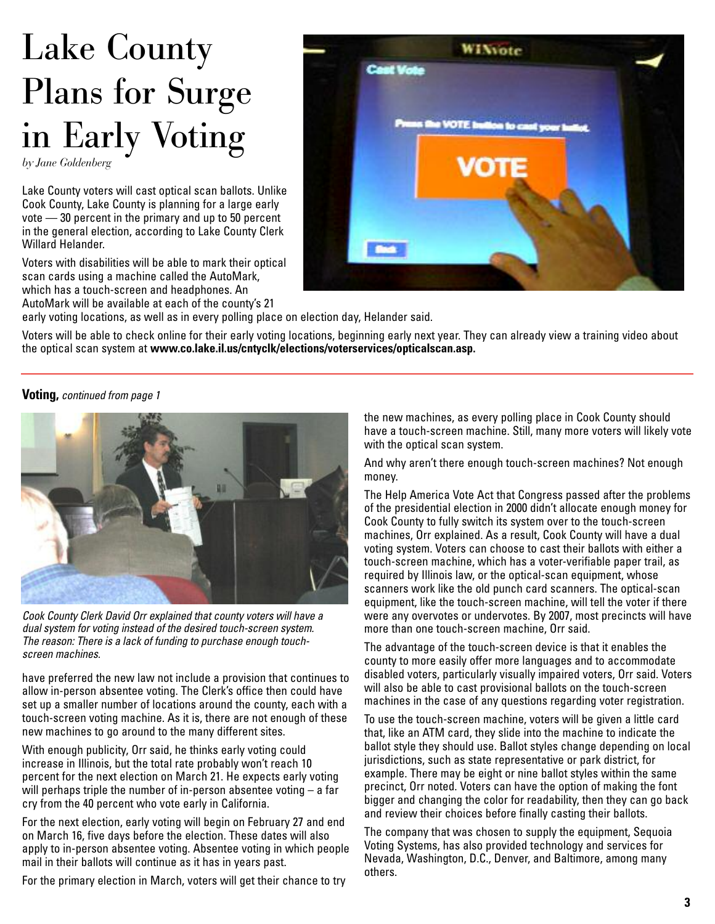## Lake County Plans for Surge in Early Voting

*by Jane Goldenberg*

Lake County voters will cast optical scan ballots. Unlike Cook County, Lake County is planning for a large early vote — 30 percent in the primary and up to 50 percent in the general election, according to Lake County Clerk Willard Helander.

Voters with disabilities will be able to mark their optical scan cards using a machine called the AutoMark, which has a touch-screen and headphones. An AutoMark will be available at each of the county's 21



early voting locations, as well as in every polling place on election day, Helander said.

Voters will be able to check online for their early voting locations, beginning early next year. They can already view a training video about the optical scan system at **www.co.lake.il.us/cntyclk/elections/voterservices/opticalscan.asp.**

**Voting,** *continued from page 1*



*Cook County Clerk David Orr explained that county voters will have a dual system for voting instead of the desired touch-screen system. The reason: There is a lack of funding to purchase enough touchscreen machines.* 

have preferred the new law not include a provision that continues to allow in-person absentee voting. The Clerk's office then could have set up a smaller number of locations around the county, each with a touch-screen voting machine. As it is, there are not enough of these new machines to go around to the many different sites.

With enough publicity, Orr said, he thinks early voting could increase in Illinois, but the total rate probably won't reach 10 percent for the next election on March 21. He expects early voting will perhaps triple the number of in-person absentee voting – a far cry from the 40 percent who vote early in California.

For the next election, early voting will begin on February 27 and end on March 16, five days before the election. These dates will also apply to in-person absentee voting. Absentee voting in which people mail in their ballots will continue as it has in years past.

For the primary election in March, voters will get their chance to try

the new machines, as every polling place in Cook County should have a touch-screen machine. Still, many more voters will likely vote with the optical scan system.

And why aren't there enough touch-screen machines? Not enough money.

The Help America Vote Act that Congress passed after the problems of the presidential election in 2000 didn't allocate enough money for Cook County to fully switch its system over to the touch-screen machines, Orr explained. As a result, Cook County will have a dual voting system. Voters can choose to cast their ballots with either a touch-screen machine, which has a voter-verifiable paper trail, as required by Illinois law, or the optical-scan equipment, whose scanners work like the old punch card scanners. The optical-scan equipment, like the touch-screen machine, will tell the voter if there were any overvotes or undervotes. By 2007, most precincts will have more than one touch-screen machine, Orr said.

The advantage of the touch-screen device is that it enables the county to more easily offer more languages and to accommodate disabled voters, particularly visually impaired voters, Orr said. Voters will also be able to cast provisional ballots on the touch-screen machines in the case of any questions regarding voter registration.

To use the touch-screen machine, voters will be given a little card that, like an ATM card, they slide into the machine to indicate the ballot style they should use. Ballot styles change depending on local jurisdictions, such as state representative or park district, for example. There may be eight or nine ballot styles within the same precinct, Orr noted. Voters can have the option of making the font bigger and changing the color for readability, then they can go back and review their choices before finally casting their ballots.

The company that was chosen to supply the equipment, Sequoia Voting Systems, has also provided technology and services for Nevada, Washington, D.C., Denver, and Baltimore, among many others.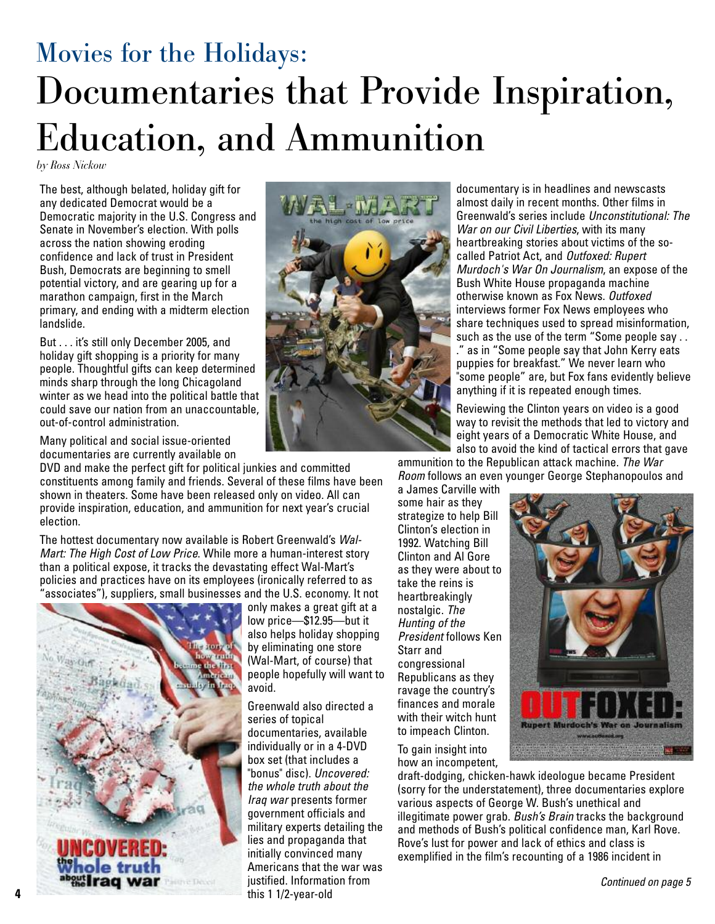### Movies for the Holidays: Documentaries that Provide Inspiration, Education, and Ammunition

*by Ross Nickow*

The best, although belated, holiday gift for any dedicated Democrat would be a Democratic majority in the U.S. Congress and Senate in November's election. With polls across the nation showing eroding confidence and lack of trust in President Bush, Democrats are beginning to smell potential victory, and are gearing up for a marathon campaign, first in the March primary, and ending with a midterm election landslide.

But . . . it's still only December 2005, and holiday gift shopping is a priority for many people. Thoughtful gifts can keep determined minds sharp through the long Chicagoland winter as we head into the political battle that could save our nation from an unaccountable, out-of-control administration.

Many political and social issue-oriented documentaries are currently available on

DVD and make the perfect gift for political junkies and committed constituents among family and friends. Several of these films have been shown in theaters. Some have been released only on video. All can provide inspiration, education, and ammunition for next year's crucial election.

The hottest documentary now available is Robert Greenwald's *Wal-Mart: The High Cost of Low Price*. While more a human-interest story than a political expose, it tracks the devastating effect Wal-Mart's policies and practices have on its employees (ironically referred to as associates"), suppliers, small businesses and the U.S. economy. It not





also helps holiday shopping

people hopefully will want to

Greenwald also directed a

documentaries, available individually or in a 4-DVD box set (that includes a "bonus" disc). *Uncovered: the whole truth about the Iraq war* presents former government officials and military experts detailing the

initially convinced many Americans that the war was

avoid.

documentary is in headlines and newscasts almost daily in recent months. Other films in Greenwald's series include *Unconstitutional: The War on our Civil Liberties*, with its many heartbreaking stories about victims of the socalled Patriot Act, and *Outfoxed: Rupert Murdoch's War On Journalism*, an expose of the Bush White House propaganda machine otherwise known as Fox News. *Outfoxed* interviews former Fox News employees who share techniques used to spread misinformation, such as the use of the term "Some people say . . ." as in "Some people say that John Kerry eats puppies for breakfast." We never learn who "some people" are, but Fox fans evidently believe anything if it is repeated enough times.

Reviewing the Clinton years on video is a good way to revisit the methods that led to victory and eight years of a Democratic White House, and also to avoid the kind of tactical errors that gave

ammunition to the Republican attack machine. *The War Room* follows an even younger George Stephanopoulos and

a James Carville with some hair as they strategize to help Bill Clinton's election in 1992. Watching Bill Clinton and Al Gore as they were about to take the reins is heartbreakingly nostalgic. *The Hunting of the President* follows Ken Starr and congressional Republicans as they ravage the country's finances and morale with their witch hunt to impeach Clinton.



To gain insight into how an incompetent,

draft-dodging, chicken-hawk ideologue became President (sorry for the understatement), three documentaries explore various aspects of George W. Bush's unethical and illegitimate power grab. *Bush's Brain* tracks the background and methods of Bush's political confidence man, Karl Rove. Rove's lust for power and lack of ethics and class is exemplified in the film's recounting of a 1986 incident in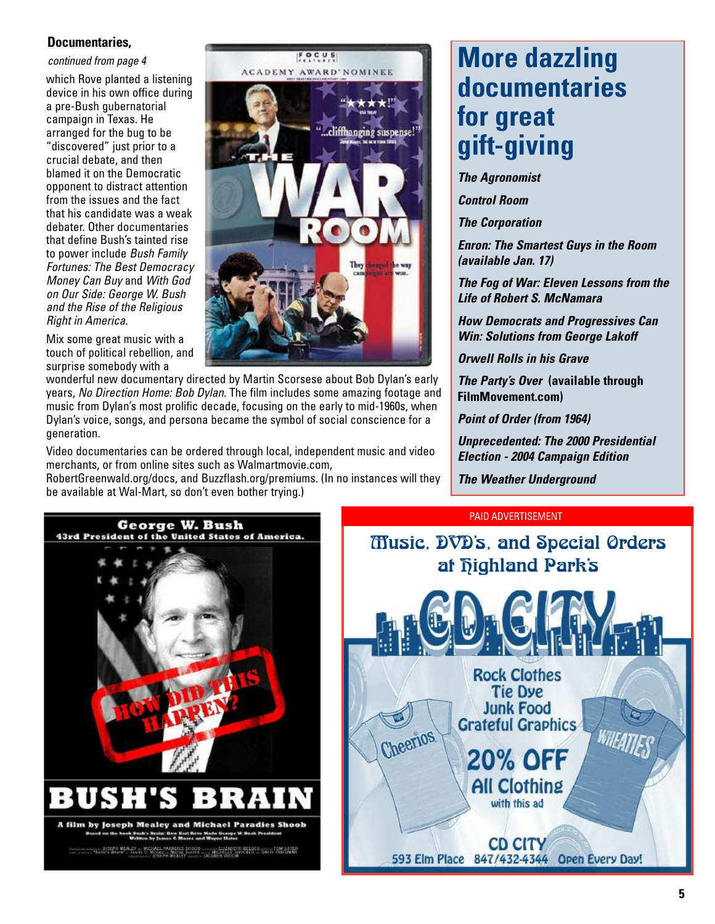#### **Documentaries,**

#### *continued from page 4*

which Rove planted a listening device in his own office during a pre-Bush gubernatorial campaign in Texas. He arranged for the bug to be "discovered" just prior to a crucial debate, and then blamed it on the Democratic opponent to distract attention from the issues and the fact that his candidate was a weak debater. Other documentaries that define Bush's tainted rise to power include *Bush Family Fortunes: The Best Democracy Money Can Buy* and *With God on Our Side: George W. Bush and the Rise of the Religious Right in America*.

Mix some great music with a touch of political rebellion, and surprise somebody with a



wonderful new documentary directed by Martin Scorsese about Bob Dylan's early years, *No Direction Home: Bob Dylan*. The film includes some amazing footage and music from Dylan's most prolific decade, focusing on the early to mid-1960s, when Dylan's voice, songs, and persona became the symbol of social conscience for a generation.

Video documentaries can be ordered through local, independent music and video merchants, or from online sites such as Walmartmovie.com,

RobertGreenwald.org/docs, and Buzzflash.org/premiums. (In no instances will they be available at Wal-Mart, so don't even bother trying.)

### **More dazzling documentaries for great gift-giving**

*The Agronomist*

*Control Room*

*The Corporation*

*Enron: The Smartest Guys in the Room (available Jan. 17)* 

*The Fog of War: Eleven Lessons from the Life of Robert S. McNamara*

*How Democrats and Progressives Can Win: Solutions from George Lakoff*

*Orwell Rolls in his Grave*

*The Party's Over* **(available through FilmMovement.com)**

*Point of Order (from 1964)*

*Unprecedented: The 2000 Presidential Election - 2004 Campaign Edition*

*The Weather Underground*

#### PAID ADVERTISEMENT



**Music, DVD's, and Special Orders** at *<u>Fighland</u>* Park's

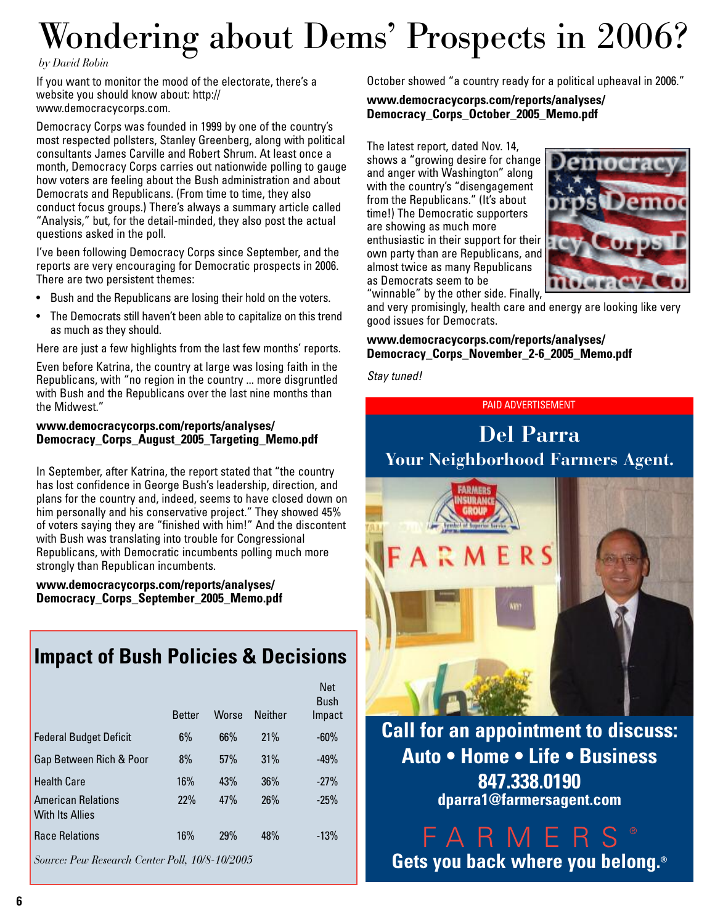## Wondering about Dems' Prospects in 2006?

#### *by David Robin*

If you want to monitor the mood of the electorate, there's a website you should know about: http:// www.democracycorps.com.

Democracy Corps was founded in 1999 by one of the country's most respected pollsters, Stanley Greenberg, along with political consultants James Carville and Robert Shrum. At least once a month, Democracy Corps carries out nationwide polling to gauge how voters are feeling about the Bush administration and about Democrats and Republicans. (From time to time, they also conduct focus groups.) There's always a summary article called "Analysis," but, for the detail-minded, they also post the actual questions asked in the poll.

I've been following Democracy Corps since September, and the reports are very encouraging for Democratic prospects in 2006. There are two persistent themes:

- Bush and the Republicans are losing their hold on the voters.
- The Democrats still haven't been able to capitalize on this trend as much as they should.

Here are just a few highlights from the last few months' reports.

Even before Katrina, the country at large was losing faith in the Republicans, with "no region in the country ... more disgruntled with Bush and the Republicans over the last nine months than the Midwest."

#### **www.democracycorps.com/reports/analyses/ Democracy\_Corps\_August\_2005\_Targeting\_Memo.pdf**

In September, after Katrina, the report stated that "the country has lost confidence in George Bush's leadership, direction, and plans for the country and, indeed, seems to have closed down on him personally and his conservative project." They showed 45% of voters saying they are "finished with him!" And the discontent with Bush was translating into trouble for Congressional Republicans, with Democratic incumbents polling much more strongly than Republican incumbents.

**www.democracycorps.com/reports/analyses/ Democracy\_Corps\_September\_2005\_Memo.pdf**

### **Impact of Bush Policies & Decisions**

|                                                     | <b>Better</b> | Worse | <b>Neither</b> | <b>Net</b><br><b>Bush</b><br>Impact |
|-----------------------------------------------------|---------------|-------|----------------|-------------------------------------|
| <b>Federal Budget Deficit</b>                       | 6%            | 66%   | 21%            | $-60%$                              |
| Gap Between Rich & Poor                             | 8%            | 57%   | 31%            | $-49%$                              |
| <b>Health Care</b>                                  | 16%           | 43%   | 36%            | $-27%$                              |
| <b>American Relations</b><br><b>With Its Allies</b> | 22%           | 47%   | 26%            | $-25%$                              |
| <b>Race Relations</b>                               | 16%           | 29%   | 48%            | $-13%$                              |
|                                                     |               |       |                |                                     |

*Source: Pew Research Center Poll, 10/8-10/2005* 

October showed "a country ready for a political upheaval in 2006."

**www.democracycorps.com/reports/analyses/ Democracy\_Corps\_October\_2005\_Memo.pdf**

The latest report, dated Nov. 14, shows a "growing desire for change and anger with Washington" along with the country's "disengagement from the Republicans." (It's about time!) The Democratic supporters are showing as much more enthusiastic in their support for their own party than are Republicans, and almost twice as many Republicans as Democrats seem to be



"winnable" by the other side. Finally,

and very promisingly, health care and energy are looking like very good issues for Democrats.

#### **www.democracycorps.com/reports/analyses/ Democracy\_Corps\_November\_2-6\_2005\_Memo.pdf**

*Stay tuned!* 

#### PAID ADVERTISEMENT

### **Del Parra Your Neighborhood Farmers Agent.**



**Call for an appointment to discuss: Auto • Home • Life • Business**

> **847.338.0190 dparra1@farmersagent.com**

FARMERS ® **Gets you back where you belong.®**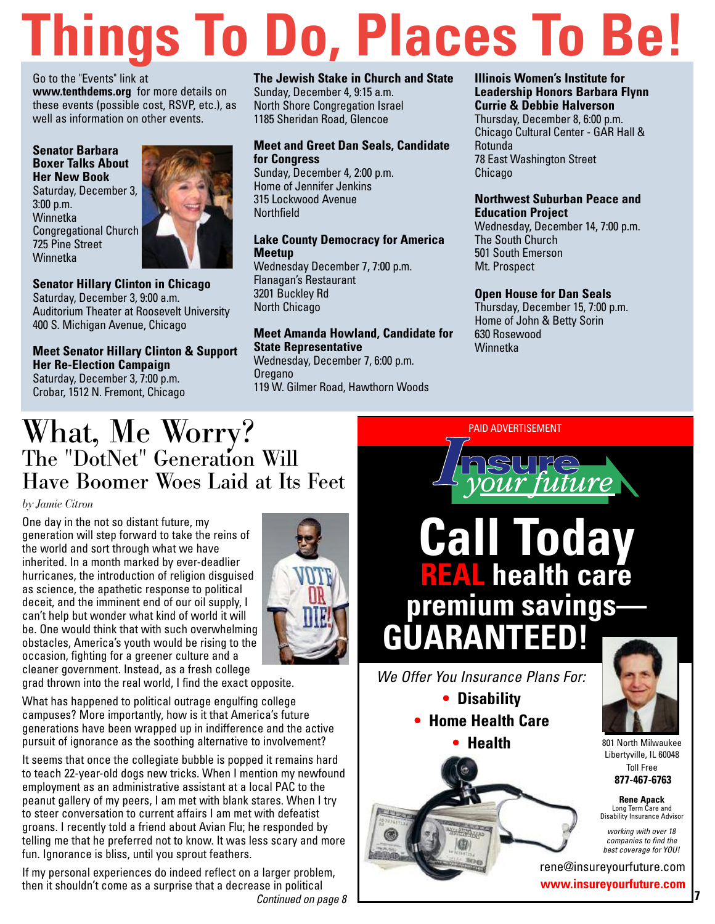# **Things To Do, Places To Be!**

Go to the "Events" link at **www.tenthdems.org** for more details on these events (possible cost, RSVP, etc.), as well as information on other events.

**Senator Barbara Boxer Talks About Her New Book**  Saturday, December 3, 3:00 p.m. **Winnetka** Congregational Church 725 Pine Street **Winnetka** 



#### **Senator Hillary Clinton in Chicago**  Saturday, December 3, 9:00 a.m.

Auditorium Theater at Roosevelt University 400 S. Michigan Avenue, Chicago

#### **Meet Senator Hillary Clinton & Support Her Re-Election Campaign**  Saturday, December 3, 7:00 p.m.

Crobar, 1512 N. Fremont, Chicago

#### **The Jewish Stake in Church and State**

Sunday, December 4, 9:15 a.m. North Shore Congregation Israel 1185 Sheridan Road, Glencoe

#### **Meet and Greet Dan Seals, Candidate for Congress**

Sunday, December 4, 2:00 p.m. Home of Jennifer Jenkins 315 Lockwood Avenue **Northfield** 

#### **Lake County Democracy for America Meetup**

Wednesday December 7, 7:00 p.m. Flanagan's Restaurant 3201 Buckley Rd North Chicago

#### **Meet Amanda Howland, Candidate for State Representative**

Wednesday, December 7, 6:00 p.m. **Oregano** 119 W. Gilmer Road, Hawthorn Woods

#### **Illinois Women's Institute for Leadership Honors Barbara Flynn Currie & Debbie Halverson**

Thursday, December 8, 6:00 p.m. Chicago Cultural Center - GAR Hall & Rotunda 78 East Washington Street Chicago

#### **Northwest Suburban Peace and Education Project**

Wednesday, December 14, 7:00 p.m. The South Church 501 South Emerson Mt. Prospect

#### **Open House for Dan Seals**

Thursday, December 15, 7:00 p.m. Home of John & Betty Sorin 630 Rosewood Winnetka

## What, Me Worry? The "DotNet" Generation Will Have Boomer Woes Laid at Its Feet

#### *by Jamie Citron*

One day in the not so distant future, my generation will step forward to take the reins of the world and sort through what we have inherited. In a month marked by ever-deadlier hurricanes, the introduction of religion disguised as science, the apathetic response to political deceit, and the imminent end of our oil supply, I can't help but wonder what kind of world it will be. One would think that with such overwhelming obstacles, America's youth would be rising to the occasion, fighting for a greener culture and a cleaner government. Instead, as a fresh college

grad thrown into the real world, I find the exact opposite.

What has happened to political outrage engulfing college campuses? More importantly, how is it that America's future generations have been wrapped up in indifference and the active pursuit of ignorance as the soothing alternative to involvement?

It seems that once the collegiate bubble is popped it remains hard to teach 22-year-old dogs new tricks. When I mention my newfound employment as an administrative assistant at a local PAC to the peanut gallery of my peers, I am met with blank stares. When I try to steer conversation to current affairs I am met with defeatist groans. I recently told a friend about Avian Flu; he responded by telling me that he preferred not to know. It was less scary and more fun. Ignorance is bliss, until you sprout feathers.

If my personal experiences do indeed reflect on a larger problem, then it shouldn't come as a surprise that a decrease in political *Continued on page 8*



PAID ADVERTISEMENT





*We Offer You Insurance Plans For:* **• Disability**

- **• Home Health Care**
	-





**• Health** 801 North Milwaukee Libertyville, IL 60048 Toll Free **877-467-6763**

> **Rene Apack** Long Term Care and Disability Insurance Advisor

*working with over 18 companies to find the best coverage for YOU!*

**7**

rene@insureyourfuture.com **www.insureyourfuture.com**